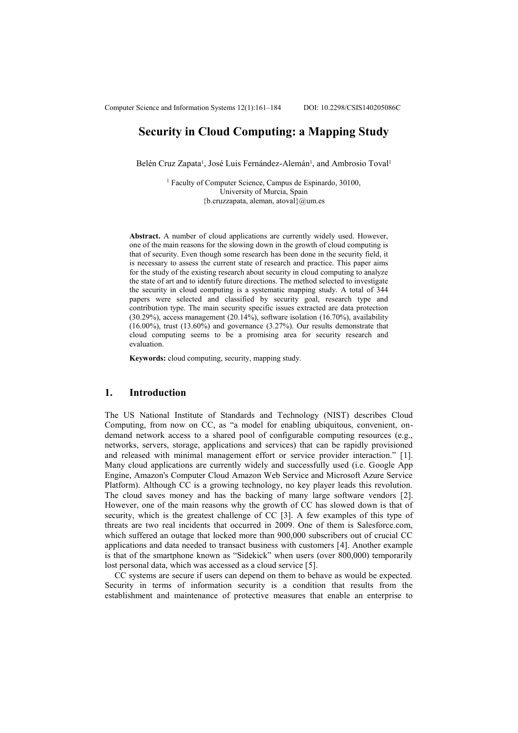# **Security in Cloud Computing: a Mapping Study**

Belén Cruz Zapata<sup>1</sup>, José Luis Fernández-Alemán<sup>1</sup>, and Ambrosio Toval<sup>1</sup>

1 Faculty of Computer Science, Campus de Espinardo, 30100, University of Murcia, Spain  ${b.cruzzapata, aleman, atoval}$  @um.es

**Abstract.** A number of cloud applications are currently widely used. However, one of the main reasons for the slowing down in the growth of cloud computing is that of security. Even though some research has been done in the security field, it is necessary to assess the current state of research and practice. This paper aims for the study of the existing research about security in cloud computing to analyze the state of art and to identify future directions. The method selected to investigate the security in cloud computing is a systematic mapping study. A total of 344 papers were selected and classified by security goal, research type and contribution type. The main security specific issues extracted are data protection (30.29%), access management (20.14%), software isolation (16.70%), availability (16.00%), trust (13.60%) and governance (3.27%). Our results demonstrate that cloud computing seems to be a promising area for security research and evaluation.

**Keywords:** cloud computing, security, mapping study.

### **1. Introduction**

The US National Institute of Standards and Technology (NIST) describes Cloud Computing, from now on CC, as "a model for enabling ubiquitous, convenient, ondemand network access to a shared pool of configurable computing resources (e.g., networks, servers, storage, applications and services) that can be rapidly provisioned and released with minimal management effort or service provider interaction." [1]. Many cloud applications are currently widely and successfully used (i.e. Google App Engine, Amazon's Computer Cloud Amazon Web Service and Microsoft Azure Service Platform). Although CC is a growing technology, no key player leads this revolution. The cloud saves money and has the backing of many large software vendors [2]. However, one of the main reasons why the growth of CC has slowed down is that of security, which is the greatest challenge of CC [3]. A few examples of this type of threats are two real incidents that occurred in 2009. One of them is Salesforce.com, which suffered an outage that locked more than 900,000 subscribers out of crucial CC applications and data needed to transact business with customers [4]. Another example is that of the smartphone known as "Sidekick" when users (over 800,000) temporarily lost personal data, which was accessed as a cloud service [5].

CC systems are secure if users can depend on them to behave as would be expected. Security in terms of information security is a condition that results from the establishment and maintenance of protective measures that enable an enterprise to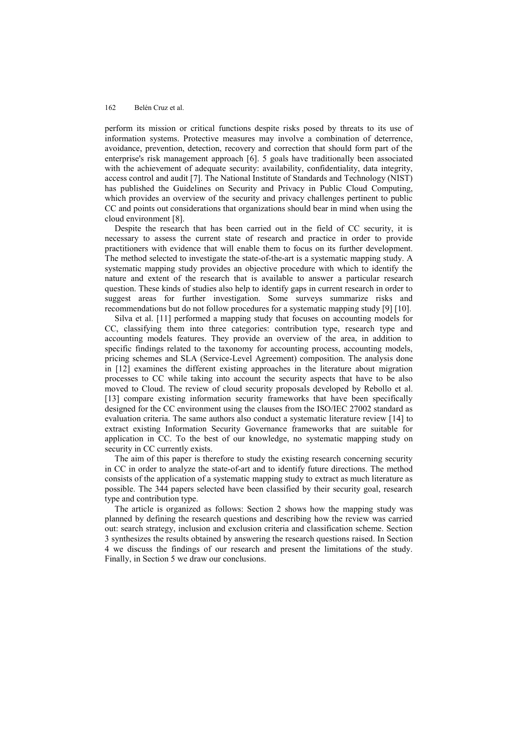perform its mission or critical functions despite risks posed by threats to its use of information systems. Protective measures may involve a combination of deterrence, avoidance, prevention, detection, recovery and correction that should form part of the enterprise's risk management approach [6]. 5 goals have traditionally been associated with the achievement of adequate security: availability, confidentiality, data integrity, access control and audit [7]. The National Institute of Standards and Technology (NIST) has published the Guidelines on Security and Privacy in Public Cloud Computing, which provides an overview of the security and privacy challenges pertinent to public CC and points out considerations that organizations should bear in mind when using the cloud environment [8].

Despite the research that has been carried out in the field of CC security, it is necessary to assess the current state of research and practice in order to provide practitioners with evidence that will enable them to focus on its further development. The method selected to investigate the state-of-the-art is a systematic mapping study. A systematic mapping study provides an objective procedure with which to identify the nature and extent of the research that is available to answer a particular research question. These kinds of studies also help to identify gaps in current research in order to suggest areas for further investigation. Some surveys summarize risks and recommendations but do not follow procedures for a systematic mapping study [9] [\[10\]](#page-18-0).

Silva et al. [11] performed a mapping study that focuses on accounting models for CC, classifying them into three categories: contribution type, research type and accounting models features. They provide an overview of the area, in addition to specific findings related to the taxonomy for accounting process, accounting models, pricing schemes and SLA (Service-Level Agreement) composition. The analysis done in [12] examines the different existing approaches in the literature about migration processes to CC while taking into account the security aspects that have to be also moved to Cloud. The review of cloud security proposals developed by Rebollo et al. [13] compare existing information security frameworks that have been specifically designed for the CC environment using the clauses from the ISO/IEC 27002 standard as evaluation criteria. The same authors also conduct a systematic literature review [14] to extract existing Information Security Governance frameworks that are suitable for application in CC. To the best of our knowledge, no systematic mapping study on security in CC currently exists.

The aim of this paper is therefore to study the existing research concerning security in CC in order to analyze the state-of-art and to identify future directions. The method consists of the application of a systematic mapping study to extract as much literature as possible. The 344 papers selected have been classified by their security goal, research type and contribution type.

The article is organized as follows: Section 2 shows how the mapping study was planned by defining the research questions and describing how the review was carried out: search strategy, inclusion and exclusion criteria and classification scheme. Section 3 synthesizes the results obtained by answering the research questions raised. In Section 4 we discuss the findings of our research and present the limitations of the study. Finally, in Section 5 we draw our conclusions.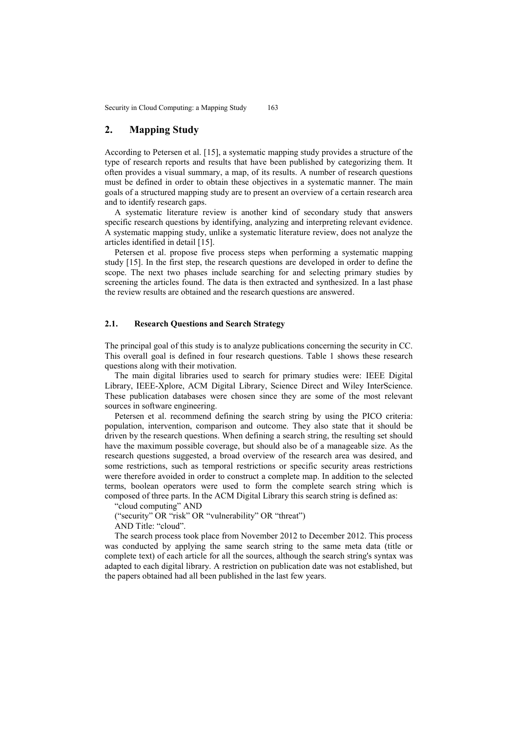Security in Cloud Computing: a Mapping Study 163

# **2. Mapping Study**

According to Petersen et al. [15], a systematic mapping study provides a structure of the type of research reports and results that have been published by categorizing them. It often provides a visual summary, a map, of its results. A number of research questions must be defined in order to obtain these objectives in a systematic manner. The main goals of a structured mapping study are to present an overview of a certain research area and to identify research gaps.

A systematic literature review is another kind of secondary study that answers specific research questions by identifying, analyzing and interpreting relevant evidence. A systematic mapping study, unlike a systematic literature review, does not analyze the articles identified in detail [15].

Petersen et al. propose five process steps when performing a systematic mapping study [15]. In the first step, the research questions are developed in order to define the scope. The next two phases include searching for and selecting primary studies by screening the articles found. The data is then extracted and synthesized. In a last phase the review results are obtained and the research questions are answered.

## **2.1. Research Questions and Search Strategy**

The principal goal of this study is to analyze publications concerning the security in CC. This overall goal is defined in four research questions. Table 1 shows these research questions along with their motivation.

The main digital libraries used to search for primary studies were: IEEE Digital Library, IEEE-Xplore, ACM Digital Library, Science Direct and Wiley InterScience. These publication databases were chosen since they are some of the most relevant sources in software engineering.

Petersen et al. recommend defining the search string by using the PICO criteria: population, intervention, comparison and outcome. They also state that it should be driven by the research questions. When defining a search string, the resulting set should have the maximum possible coverage, but should also be of a manageable size. As the research questions suggested, a broad overview of the research area was desired, and some restrictions, such as temporal restrictions or specific security areas restrictions were therefore avoided in order to construct a complete map. In addition to the selected terms, boolean operators were used to form the complete search string which is composed of three parts. In the ACM Digital Library this search string is defined as:

"cloud computing" AND

("security" OR "risk" OR "vulnerability" OR "threat")

AND Title: "cloud".

The search process took place from November 2012 to December 2012. This process was conducted by applying the same search string to the same meta data (title or complete text) of each article for all the sources, although the search string's syntax was adapted to each digital library. A restriction on publication date was not established, but the papers obtained had all been published in the last few years.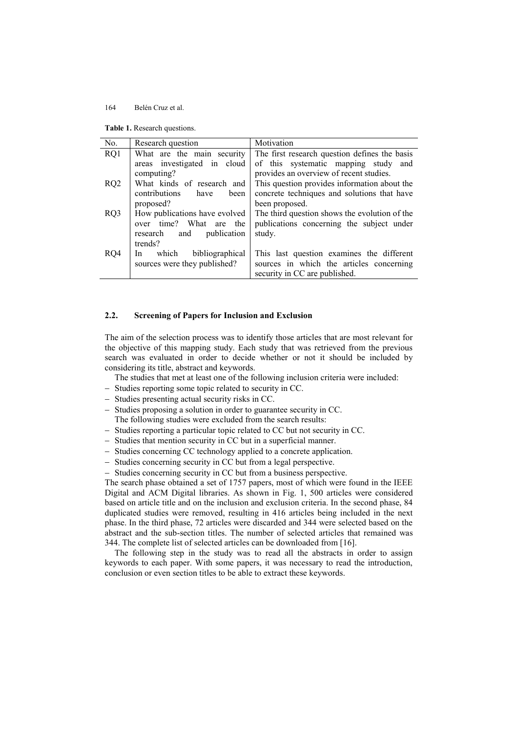**Table 1.** Research questions.

| No. | Research question                                                                                     | Motivation                                                                                                             |
|-----|-------------------------------------------------------------------------------------------------------|------------------------------------------------------------------------------------------------------------------------|
| RQ1 | What are the main security                                                                            | The first research question defines the basis                                                                          |
|     | areas investigated in cloud<br>computing?                                                             | of this systematic mapping study and<br>provides an overview of recent studies.                                        |
| RQ2 | What kinds of research and<br>contributions<br>have<br>been<br>proposed?                              | This question provides information about the<br>concrete techniques and solutions that have<br>been proposed.          |
| RQ3 | How publications have evolved<br>over time? What are the<br>publication<br>research<br>and<br>trends? | The third question shows the evolution of the<br>publications concerning the subject under<br>study.                   |
| RQ4 | which<br>bibliographical<br>In.<br>sources were they published?                                       | This last question examines the different<br>sources in which the articles concerning<br>security in CC are published. |

## **2.2. Screening of Papers for Inclusion and Exclusion**

The aim of the selection process was to identify those articles that are most relevant for the objective of this mapping study. Each study that was retrieved from the previous search was evaluated in order to decide whether or not it should be included by considering its title, abstract and keywords.

The studies that met at least one of the following inclusion criteria were included:

- Studies reporting some topic related to security in CC.
- Studies presenting actual security risks in CC.
- Studies proposing a solution in order to guarantee security in CC. The following studies were excluded from the search results:
- Studies reporting a particular topic related to CC but not security in CC.
- 
- Studies that mention security in CC but in a superficial manner.
- Studies concerning CC technology applied to a concrete application.
- Studies concerning security in CC but from a legal perspective.
- Studies concerning security in CC but from a business perspective.

The search phase obtained a set of 1757 papers, most of which were found in the IEEE Digital and ACM Digital libraries. As shown in Fig. 1, 500 articles were considered based on article title and on the inclusion and exclusion criteria. In the second phase, 84 duplicated studies were removed, resulting in 416 articles being included in the next phase. In the third phase, 72 articles were discarded and 344 were selected based on the abstract and the sub-section titles. The number of selected articles that remained was 344. The complete list of selected articles can be downloaded from [16].

The following step in the study was to read all the abstracts in order to assign keywords to each paper. With some papers, it was necessary to read the introduction, conclusion or even section titles to be able to extract these keywords.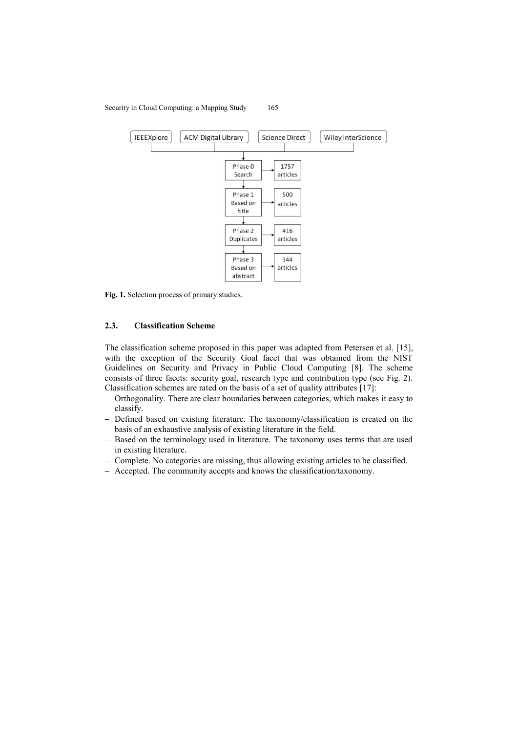#### IEEEXplore **ACM Digital Library Science Direct** Wiley InterScience Phase 0 1757 Search articles Phase 1 500 **Based on** articles title Phase 2 416 Duplicates articles 344 Phase 3 Based on articles abstract

**Fig. 1.** Selection process of primary studies.

## **2.3. Classification Scheme**

The classification scheme proposed in this paper was adapted from Petersen et al. [15], with the exception of the Security Goal facet that was obtained from the NIST Guidelines on Security and Privacy in Public Cloud Computing [8]. The scheme consists of three facets: security goal, research type and contribution type (see Fig. 2). Classification schemes are rated on the basis of a set of quality attributes [17]:

- Orthogonality. There are clear boundaries between categories, which makes it easy to classify.
- Defined based on existing literature. The taxonomy/classification is created on the basis of an exhaustive analysis of existing literature in the field.
- Based on the terminology used in literature. The taxonomy uses terms that are used in existing literature.
- Complete. No categories are missing, thus allowing existing articles to be classified.
- Accepted. The community accepts and knows the classification/taxonomy.

## Security in Cloud Computing: a Mapping Study 165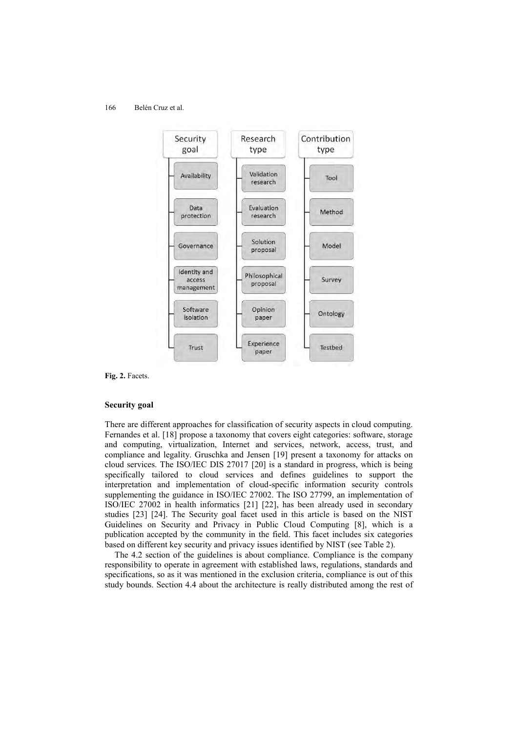

**Fig. 2.** Facets.

### **Security goal**

There are different approaches for classification of security aspects in cloud computing. Fernandes et al. [18] propose a taxonomy that covers eight categories: software, storage and computing, virtualization, Internet and services, network, access, trust, and compliance and legality. Gruschka and Jensen [19] present a taxonomy for attacks on cloud services. The ISO/IEC DIS 27017 [20] is a standard in progress, which is being specifically tailored to cloud services and defines guidelines to support the interpretation and implementation of cloud-specific information security controls supplementing the guidance in ISO/IEC 27002. The ISO 27799, an implementation of ISO/IEC 27002 in health informatics [21] [22], has been already used in secondary studies [23] [24]. The Security goal facet used in this article is based on the NIST Guidelines on Security and Privacy in Public Cloud Computing [8], which is a publication accepted by the community in the field. This facet includes six categories based on different key security and privacy issues identified by NIST (see Table 2).

The 4.2 section of the guidelines is about compliance. Compliance is the company responsibility to operate in agreement with established laws, regulations, standards and specifications, so as it was mentioned in the exclusion criteria, compliance is out of this study bounds. Section 4.4 about the architecture is really distributed among the rest of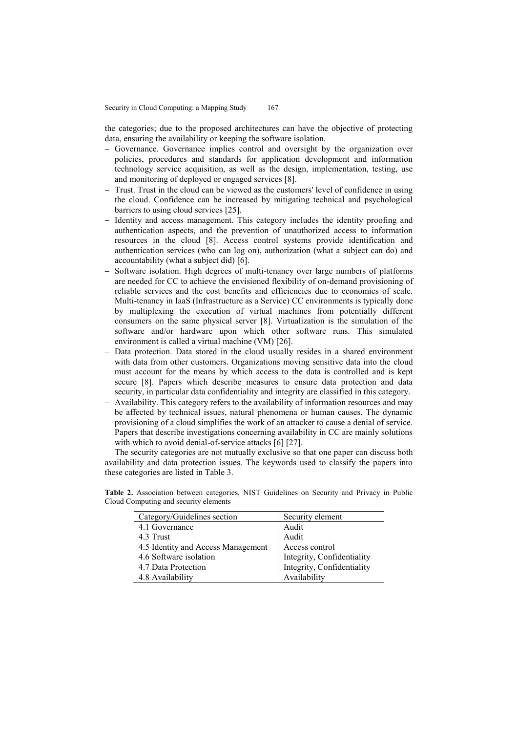the categories; due to the proposed architectures can have the objective of protecting data, ensuring the availability or keeping the software isolation.

- Governance. Governance implies control and oversight by the organization over policies, procedures and standards for application development and information technology service acquisition, as well as the design, implementation, testing, use and monitoring of deployed or engaged services [8].
- Trust. Trust in the cloud can be viewed as the customers' level of confidence in using the cloud. Confidence can be increased by mitigating technical and psychological barriers to using cloud services [25].
- Identity and access management. This category includes the identity proofing and authentication aspects, and the prevention of unauthorized access to information resources in the cloud [8]. Access control systems provide identification and authentication services (who can log on), authorization (what a subject can do) and accountability (what a subject did) [6].
- Software isolation. High degrees of multi-tenancy over large numbers of platforms are needed for CC to achieve the envisioned flexibility of on-demand provisioning of reliable services and the cost benefits and efficiencies due to economies of scale. Multi-tenancy in IaaS (Infrastructure as a Service) CC environments is typically done by multiplexing the execution of virtual machines from potentially different consumers on the same physical server [8]. Virtualization is the simulation of the software and/or hardware upon which other software runs. This simulated environment is called a virtual machine (VM) [26].
- Data protection. Data stored in the cloud usually resides in a shared environment with data from other customers. Organizations moving sensitive data into the cloud must account for the means by which access to the data is controlled and is kept secure [8]. Papers which describe measures to ensure data protection and data security, in particular data confidentiality and integrity are classified in this category.
- Availability. This category refers to the availability of information resources and may be affected by technical issues, natural phenomena or human causes. The dynamic provisioning of a cloud simplifies the work of an attacker to cause a denial of service. Papers that describe investigations concerning availability in CC are mainly solutions with which to avoid denial-of-service attacks [6] [27].

The security categories are not mutually exclusive so that one paper can discuss both availability and data protection issues. The keywords used to classify the papers into these categories are listed in Table 3.

**Table 2.** Association between categories, NIST Guidelines on Security and Privacy in Public Cloud Computing and security elements

| Category/Guidelines section        | Security element           |
|------------------------------------|----------------------------|
| 4.1 Governance                     | Audit                      |
| 4.3 Trust                          | Audit                      |
| 4.5 Identity and Access Management | Access control             |
| 4.6 Software isolation             | Integrity, Confidentiality |
| 4.7 Data Protection                | Integrity, Confidentiality |
| 4.8 Availability                   | Availability               |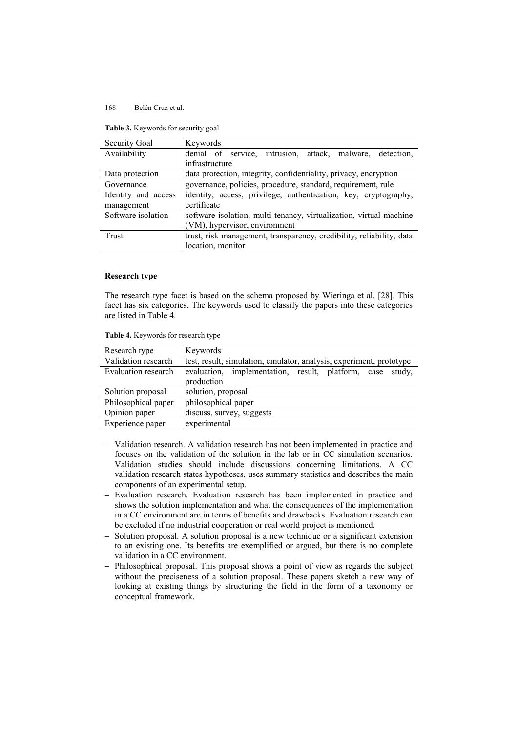| <b>Table 5.</b> Neywords for security goal |  |  |
|--------------------------------------------|--|--|
|                                            |  |  |

**Table 3.** Keywords for security goal

| Security Goal       | Keywords                                                             |  |  |  |
|---------------------|----------------------------------------------------------------------|--|--|--|
| Availability        | denial of service, intrusion, attack, malware, detection,            |  |  |  |
|                     | infrastructure                                                       |  |  |  |
| Data protection     | data protection, integrity, confidentiality, privacy, encryption     |  |  |  |
| Governance          | governance, policies, procedure, standard, requirement, rule         |  |  |  |
| Identity and access | identity, access, privilege, authentication, key, cryptography,      |  |  |  |
| management          | certificate                                                          |  |  |  |
| Software isolation  | software isolation, multi-tenancy, virtualization, virtual machine   |  |  |  |
|                     | (VM), hypervisor, environment                                        |  |  |  |
| Trust               | trust, risk management, transparency, credibility, reliability, data |  |  |  |
|                     | location, monitor                                                    |  |  |  |

### **Research type**

The research type facet is based on the schema proposed by Wieringa et al. [28]. This facet has six categories. The keywords used to classify the papers into these categories are listed in Table 4.

**Table 4.** Keywords for research type

| Research type       | Keywords                                                            |  |  |  |
|---------------------|---------------------------------------------------------------------|--|--|--|
| Validation research | test, result, simulation, emulator, analysis, experiment, prototype |  |  |  |
| Evaluation research | evaluation, implementation, result, platform, case study,           |  |  |  |
|                     | production                                                          |  |  |  |
| Solution proposal   | solution, proposal                                                  |  |  |  |
| Philosophical paper | philosophical paper                                                 |  |  |  |
| Opinion paper       | discuss, survey, suggests                                           |  |  |  |
| Experience paper    | experimental                                                        |  |  |  |

- Validation research. A validation research has not been implemented in practice and focuses on the validation of the solution in the lab or in CC simulation scenarios. Validation studies should include discussions concerning limitations. A CC validation research states hypotheses, uses summary statistics and describes the main components of an experimental setup.
- Evaluation research. Evaluation research has been implemented in practice and shows the solution implementation and what the consequences of the implementation in a CC environment are in terms of benefits and drawbacks. Evaluation research can be excluded if no industrial cooperation or real world project is mentioned.
- Solution proposal. A solution proposal is a new technique or a significant extension to an existing one. Its benefits are exemplified or argued, but there is no complete validation in a CC environment.
- Philosophical proposal. This proposal shows a point of view as regards the subject without the preciseness of a solution proposal. These papers sketch a new way of looking at existing things by structuring the field in the form of a taxonomy or conceptual framework.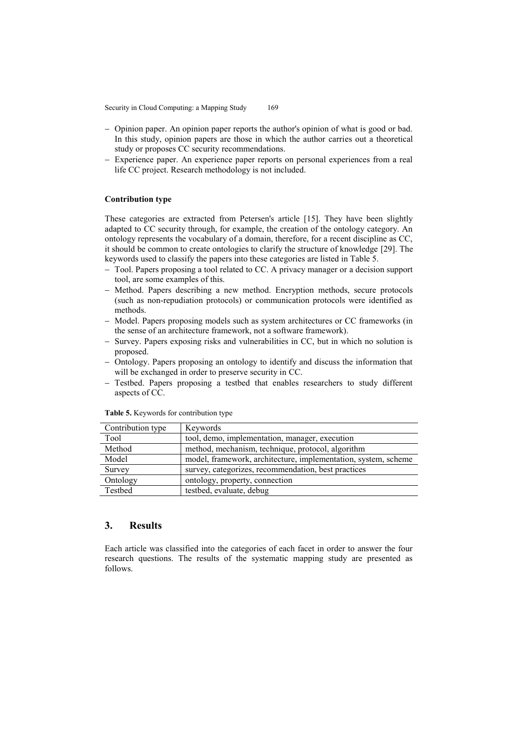Security in Cloud Computing: a Mapping Study 169

- Opinion paper. An opinion paper reports the author's opinion of what is good or bad. In this study, opinion papers are those in which the author carries out a theoretical study or proposes CC security recommendations.
- Experience paper. An experience paper reports on personal experiences from a real life CC project. Research methodology is not included.

### **Contribution type**

These categories are extracted from Petersen's article [15]. They have been slightly adapted to CC security through, for example, the creation of the ontology category. An ontology represents the vocabulary of a domain, therefore, for a recent discipline as CC, it should be common to create ontologies to clarify the structure of knowledge [29]. The keywords used to classify the papers into these categories are listed in Table 5.

- Tool. Papers proposing a tool related to CC. A privacy manager or a decision support tool, are some examples of this.
- Method. Papers describing a new method. Encryption methods, secure protocols (such as non-repudiation protocols) or communication protocols were identified as methods.
- Model. Papers proposing models such as system architectures or CC frameworks (in the sense of an architecture framework, not a software framework).
- Survey. Papers exposing risks and vulnerabilities in CC, but in which no solution is proposed.
- Ontology. Papers proposing an ontology to identify and discuss the information that will be exchanged in order to preserve security in CC.
- Testbed. Papers proposing a testbed that enables researchers to study different aspects of CC.

| Contribution type | Keywords                                                       |
|-------------------|----------------------------------------------------------------|
| Tool              | tool, demo, implementation, manager, execution                 |
| Method            | method, mechanism, technique, protocol, algorithm              |
| Model             | model, framework, architecture, implementation, system, scheme |
| Survey            | survey, categorizes, recommendation, best practices            |
| Ontology          | ontology, property, connection                                 |
| Testbed           | testbed, evaluate, debug                                       |

**Table 5.** Keywords for contribution type

## **3. Results**

Each article was classified into the categories of each facet in order to answer the four research questions. The results of the systematic mapping study are presented as follows.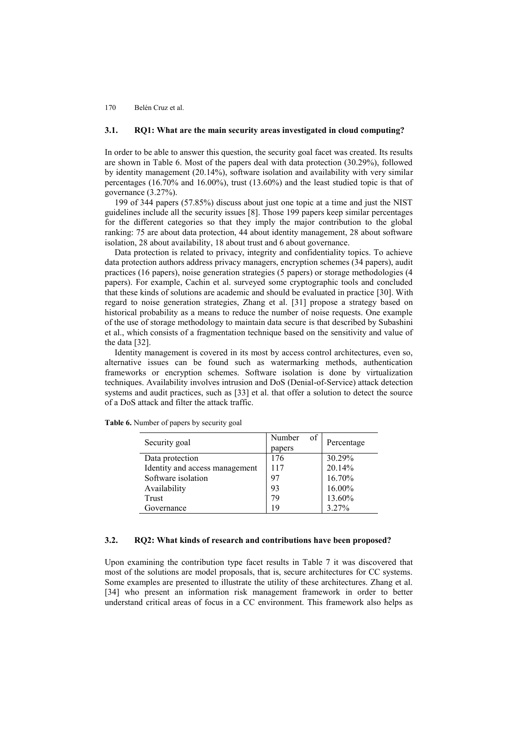### **3.1. RQ1: What are the main security areas investigated in cloud computing?**

In order to be able to answer this question, the security goal facet was created. Its results are shown in Table 6. Most of the papers deal with data protection (30.29%), followed by identity management (20.14%), software isolation and availability with very similar percentages (16.70% and 16.00%), trust (13.60%) and the least studied topic is that of governance (3.27%).

199 of 344 papers (57.85%) discuss about just one topic at a time and just the NIST guidelines include all the security issues [8]. Those 199 papers keep similar percentages for the different categories so that they imply the major contribution to the global ranking: 75 are about data protection, 44 about identity management, 28 about software isolation, 28 about availability, 18 about trust and 6 about governance.

Data protection is related to privacy, integrity and confidentiality topics. To achieve data protection authors address privacy managers, encryption schemes (34 papers), audit practices (16 papers), noise generation strategies (5 papers) or storage methodologies (4 papers). For example, Cachin et al. surveyed some cryptographic tools and concluded that these kinds of solutions are academic and should be evaluated in practice [30]. With regard to noise generation strategies, Zhang et al. [31] propose a strategy based on historical probability as a means to reduce the number of noise requests. One example of the use of storage methodology to maintain data secure is that described by Subashini et al., which consists of a fragmentation technique based on the sensitivity and value of the data [32].

Identity management is covered in its most by access control architectures, even so, alternative issues can be found such as watermarking methods, authentication frameworks or encryption schemes. Software isolation is done by virtualization techniques. Availability involves intrusion and DoS (Denial-of-Service) attack detection systems and audit practices, such as [33] et al. that offer a solution to detect the source of a DoS attack and filter the attack traffic.

| Security goal                  | Number<br>of<br>papers | Percentage |
|--------------------------------|------------------------|------------|
| Data protection                | 176                    | 30.29%     |
| Identity and access management | 117                    | 20.14%     |
| Software isolation             | 97                     | 16.70%     |
| Availability                   | 93                     | 16.00%     |
| Trust                          | 79                     | 13.60%     |
| Governance                     | 19                     | $3.27\%$   |

**Table 6.** Number of papers by security goal

## **3.2. RQ2: What kinds of research and contributions have been proposed?**

Upon examining the contribution type facet results in Table 7 it was discovered that most of the solutions are model proposals, that is, secure architectures for CC systems. Some examples are presented to illustrate the utility of these architectures. Zhang et al. [34] who present an information risk management framework in order to better understand critical areas of focus in a CC environment. This framework also helps as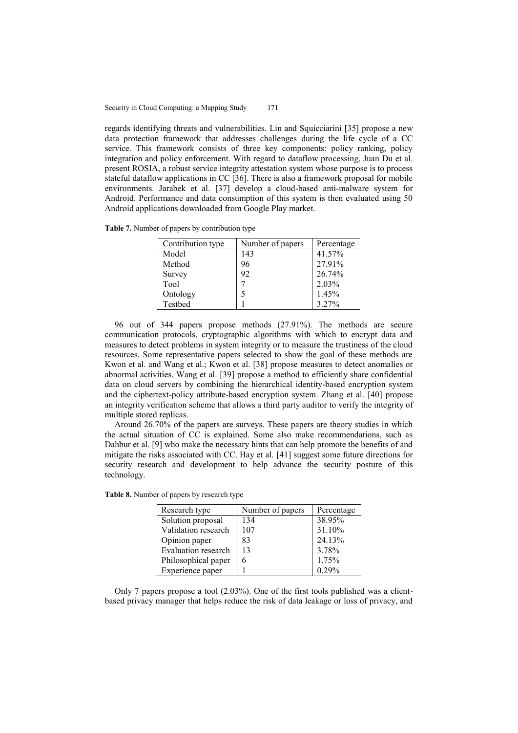regards identifying threats and vulnerabilities. Lin and Squicciarini [35] propose a new data protection framework that addresses challenges during the life cycle of a CC service. This framework consists of three key components: policy ranking, policy integration and policy enforcement. With regard to dataflow processing, Juan Du et al. present ROSIA, a robust service integrity attestation system whose purpose is to process stateful dataflow applications in CC [36]. There is also a framework proposal for mobile environments. Jarabek et al. [37] develop a cloud-based anti-malware system for Android. Performance and data consumption of this system is then evaluated using 50 Android applications downloaded from Google Play market.

**Table 7.** Number of papers by contribution type

| Contribution type | Number of papers | Percentage |
|-------------------|------------------|------------|
| Model             | 143              | 41.57%     |
| Method            | 96               | 27.91%     |
| Survey            | 92               | 26.74%     |
| Tool              |                  | 2.03%      |
| Ontology          |                  | 1.45%      |
| Testbed           |                  | 3 27%      |

96 out of 344 papers propose methods (27.91%). The methods are secure communication protocols, cryptographic algorithms with which to encrypt data and measures to detect problems in system integrity or to measure the trustiness of the cloud resources. Some representative papers selected to show the goal of these methods are Kwon et al. and Wang et al.; Kwon et al. [38] propose measures to detect anomalies or abnormal activities. Wang et al. [39] propose a method to efficiently share confidential data on cloud servers by combining the hierarchical identity-based encryption system and the ciphertext-policy attribute-based encryption system. Zhang et al. [40] propose an integrity verification scheme that allows a third party auditor to verify the integrity of multiple stored replicas.

Around 26.70% of the papers are surveys. These papers are theory studies in which the actual situation of CC is explained. Some also make recommendations, such as Dahbur et al. [9] who make the necessary hints that can help promote the benefits of and mitigate the risks associated with CC. Hay et al. [41] suggest some future directions for security research and development to help advance the security posture of this technology.

| Research type       | Number of papers | Percentage |
|---------------------|------------------|------------|
| Solution proposal   | 134              | 38.95%     |
| Validation research | 107              | 31.10%     |
| Opinion paper       | 83               | 24.13%     |
| Evaluation research | 13               | 3.78%      |
| Philosophical paper | 6                | 1.75%      |
| Experience paper    |                  | 0.29%      |
|                     |                  |            |

**Table 8.** Number of papers by research type

Only 7 papers propose a tool (2.03%). One of the first tools published was a clientbased privacy manager that helps reduce the risk of data leakage or loss of privacy, and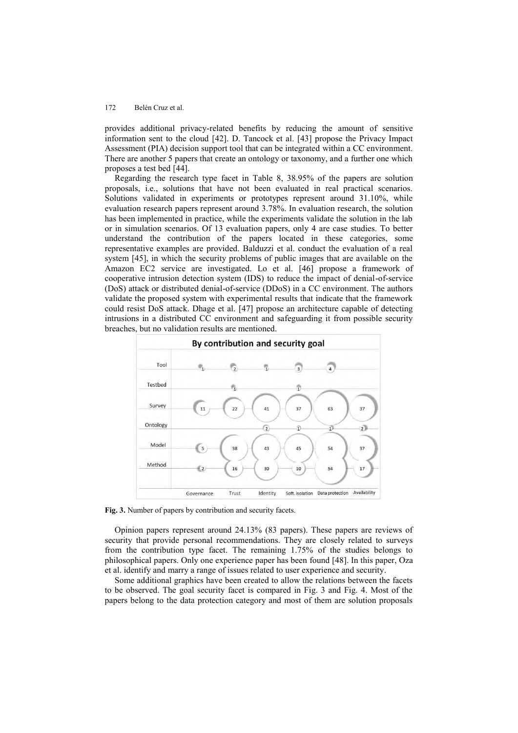provides additional privacy-related benefits by reducing the amount of sensitive information sent to the cloud [42]. D. Tancock et al. [43] propose the Privacy Impact Assessment (PIA) decision support tool that can be integrated within a CC environment. There are another 5 papers that create an ontology or taxonomy, and a further one which proposes a test bed [44].

Regarding the research type facet in Table 8, 38.95% of the papers are solution proposals, i.e., solutions that have not been evaluated in real practical scenarios. Solutions validated in experiments or prototypes represent around 31.10%, while evaluation research papers represent around 3.78%. In evaluation research, the solution has been implemented in practice, while the experiments validate the solution in the lab or in simulation scenarios. Of 13 evaluation papers, only 4 are case studies. To better understand the contribution of the papers located in these categories, some representative examples are provided. Balduzzi et al. conduct the evaluation of a real system [45], in which the security problems of public images that are available on the Amazon EC2 service are investigated. Lo et al. [46] propose a framework of cooperative intrusion detection system (IDS) to reduce the impact of denial-of-service (DoS) attack or distributed denial-of-service (DDoS) in a CC environment. The authors validate the proposed system with experimental results that indicate that the framework could resist DoS attack. Dhage et al. [47] propose an architecture capable of detecting intrusions in a distributed CC environment and safeguarding it from possible security breaches, but no validation results are mentioned.



**Fig. 3.** Number of papers by contribution and security facets.

Opinion papers represent around 24.13% (83 papers). These papers are reviews of security that provide personal recommendations. They are closely related to surveys from the contribution type facet. The remaining 1.75% of the studies belongs to philosophical papers. Only one experience paper has been found [48]. In this paper, Oza et al. identify and marry a range of issues related to user experience and security.

Some additional graphics have been created to allow the relations between the facets to be observed. The goal security facet is compared in Fig. 3 and Fig. 4. Most of the papers belong to the data protection category and most of them are solution proposals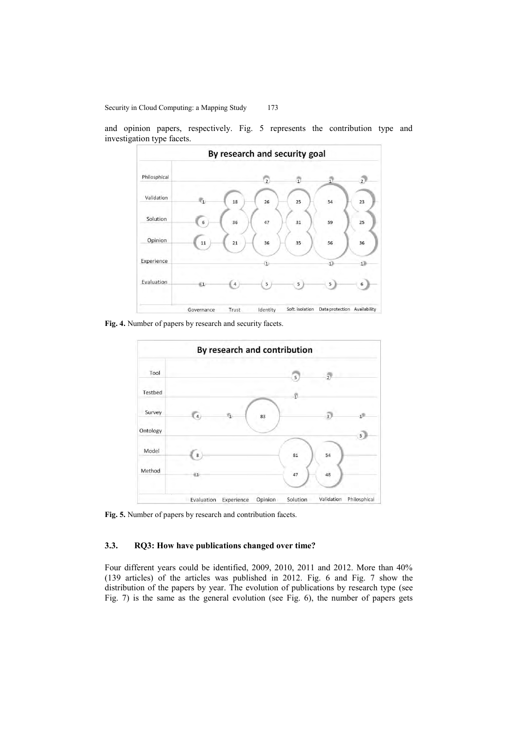and opinion papers, respectively. Fig. 5 represents the contribution type and investigation type facets.



**Fig. 4.** Number of papers by research and security facets.



**Fig. 5.** Number of papers by research and contribution facets.

## **3.3. RQ3: How have publications changed over time?**

Four different years could be identified, 2009, 2010, 2011 and 2012. More than 40% (139 articles) of the articles was published in 2012. Fig. 6 and Fig. 7 show the distribution of the papers by year. The evolution of publications by research type (see Fig. 7) is the same as the general evolution (see Fig. 6), the number of papers gets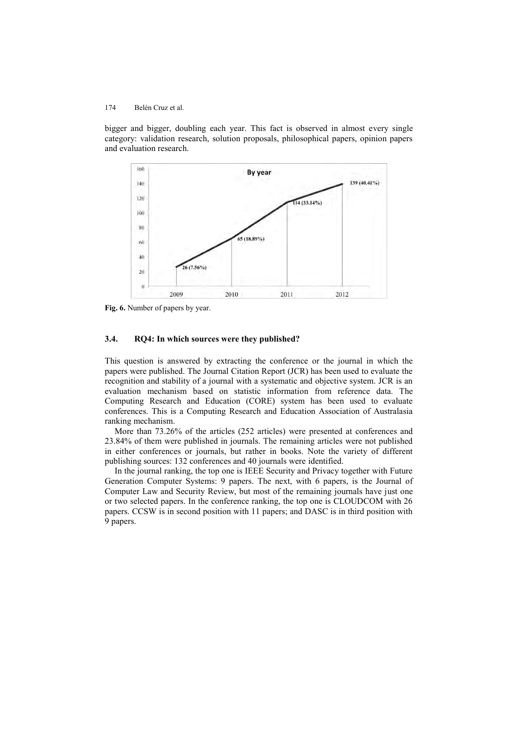bigger and bigger, doubling each year. This fact is observed in almost every single category: validation research, solution proposals, philosophical papers, opinion papers and evaluation research.



**Fig. 6.** Number of papers by year.

### **3.4. RQ4: In which sources were they published?**

This question is answered by extracting the conference or the journal in which the papers were published. The Journal Citation Report (JCR) has been used to evaluate the recognition and stability of a journal with a systematic and objective system. JCR is an evaluation mechanism based on statistic information from reference data. The Computing Research and Education (CORE) system has been used to evaluate conferences. This is a Computing Research and Education Association of Australasia ranking mechanism.

More than 73.26% of the articles (252 articles) were presented at conferences and 23.84% of them were published in journals. The remaining articles were not published in either conferences or journals, but rather in books. Note the variety of different publishing sources: 132 conferences and 40 journals were identified.

In the journal ranking, the top one is IEEE Security and Privacy together with Future Generation Computer Systems: 9 papers. The next, with 6 papers, is the Journal of Computer Law and Security Review, but most of the remaining journals have just one or two selected papers. In the conference ranking, the top one is CLOUDCOM with 26 papers. CCSW is in second position with 11 papers; and DASC is in third position with 9 papers.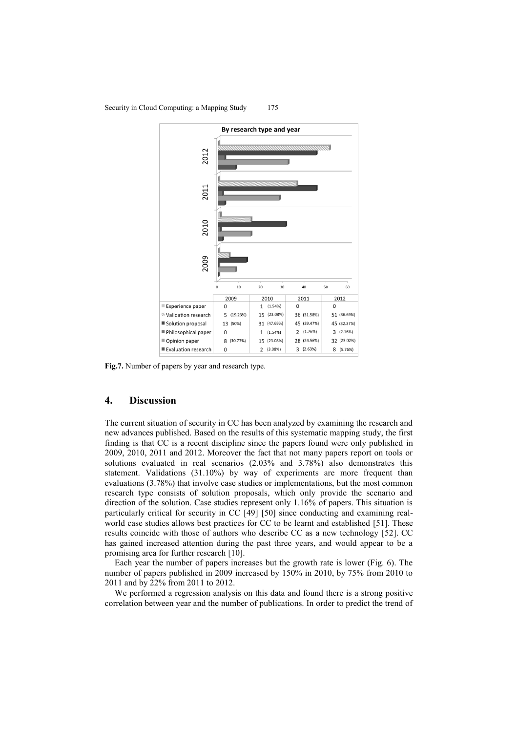

#### Security in Cloud Computing: a Mapping Study 175

**Fig.7.** Number of papers by year and research type.

## **4. Discussion**

The current situation of security in CC has been analyzed by examining the research and new advances published. Based on the results of this systematic mapping study, the first finding is that CC is a recent discipline since the papers found were only published in 2009, 2010, 2011 and 2012. Moreover the fact that not many papers report on tools or solutions evaluated in real scenarios (2.03% and 3.78%) also demonstrates this statement. Validations (31.10%) by way of experiments are more frequent than evaluations (3.78%) that involve case studies or implementations, but the most common research type consists of solution proposals, which only provide the scenario and direction of the solution. Case studies represent only 1.16% of papers. This situation is particularly critical for security in CC [49] [50] since conducting and examining realworld case studies allows best practices for CC to be learnt and established [51]. These results coincide with those of authors who describe CC as a new technology [52]. CC has gained increased attention during the past three years, and would appear to be a promising area for further research [\[10\]](#page-18-0).

Each year the number of papers increases but the growth rate is lower (Fig. 6). The number of papers published in 2009 increased by 150% in 2010, by 75% from 2010 to 2011 and by 22% from 2011 to 2012.

We performed a regression analysis on this data and found there is a strong positive correlation between year and the number of publications. In order to predict the trend of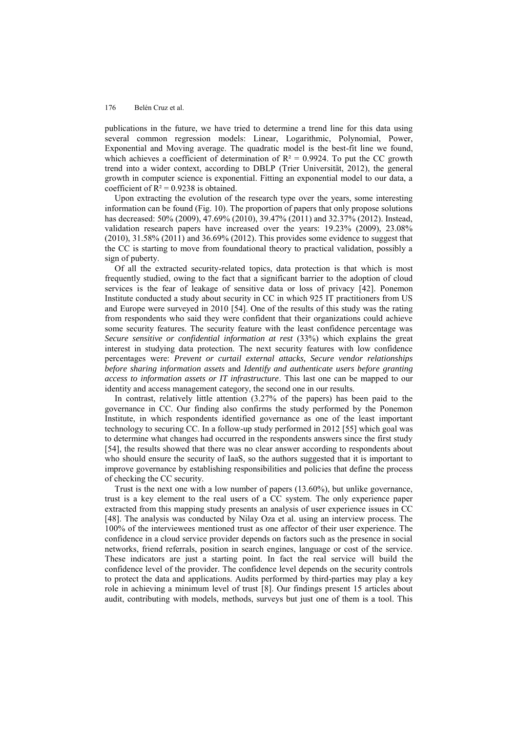publications in the future, we have tried to determine a trend line for this data using several common regression models: Linear, Logarithmic, Polynomial, Power, Exponential and Moving average. The quadratic model is the best-fit line we found, which achieves a coefficient of determination of  $R^2 = 0.9924$ . To put the CC growth trend into a wider context, according to DBLP (Trier Universität, 2012), the general growth in computer science is exponential. Fitting an exponential model to our data, a coefficient of  $R^2 = 0.9238$  is obtained.

Upon extracting the evolution of the research type over the years, some interesting information can be found (Fig. 10). The proportion of papers that only propose solutions has decreased: 50% (2009), 47.69% (2010), 39.47% (2011) and 32.37% (2012). Instead, validation research papers have increased over the years: 19.23% (2009), 23.08% (2010), 31.58% (2011) and 36.69% (2012). This provides some evidence to suggest that the CC is starting to move from foundational theory to practical validation, possibly a sign of puberty.

Of all the extracted security-related topics, data protection is that which is most frequently studied, owing to the fact that a significant barrier to the adoption of cloud services is the fear of leakage of sensitive data or loss of privacy [42]. Ponemon Institute conducted a study about security in CC in which 925 IT practitioners from US and Europe were surveyed in 2010 [54]. One of the results of this study was the rating from respondents who said they were confident that their organizations could achieve some security features. The security feature with the least confidence percentage was *Secure sensitive or confidential information at rest* (33%) which explains the great interest in studying data protection. The next security features with low confidence percentages were: *Prevent or curtail external attacks, Secure vendor relationships before sharing information assets* and *Identify and authenticate users before granting access to information assets or IT infrastructure*. This last one can be mapped to our identity and access management category, the second one in our results.

In contrast, relatively little attention (3.27% of the papers) has been paid to the governance in CC. Our finding also confirms the study performed by the Ponemon Institute, in which respondents identified governance as one of the least important technology to securing CC. In a follow-up study performed in 2012 [55] which goal was to determine what changes had occurred in the respondents answers since the first study [54], the results showed that there was no clear answer according to respondents about who should ensure the security of IaaS, so the authors suggested that it is important to improve governance by establishing responsibilities and policies that define the process of checking the CC security.

Trust is the next one with a low number of papers (13.60%), but unlike governance, trust is a key element to the real users of a CC system. The only experience paper extracted from this mapping study presents an analysis of user experience issues in CC [48]. The analysis was conducted by Nilay Oza et al. using an interview process. The 100% of the interviewees mentioned trust as one affector of their user experience. The confidence in a cloud service provider depends on factors such as the presence in social networks, friend referrals, position in search engines, language or cost of the service. These indicators are just a starting point. In fact the real service will build the confidence level of the provider. The confidence level depends on the security controls to protect the data and applications. Audits performed by third-parties may play a key role in achieving a minimum level of trust [8]. Our findings present 15 articles about audit, contributing with models, methods, surveys but just one of them is a tool. This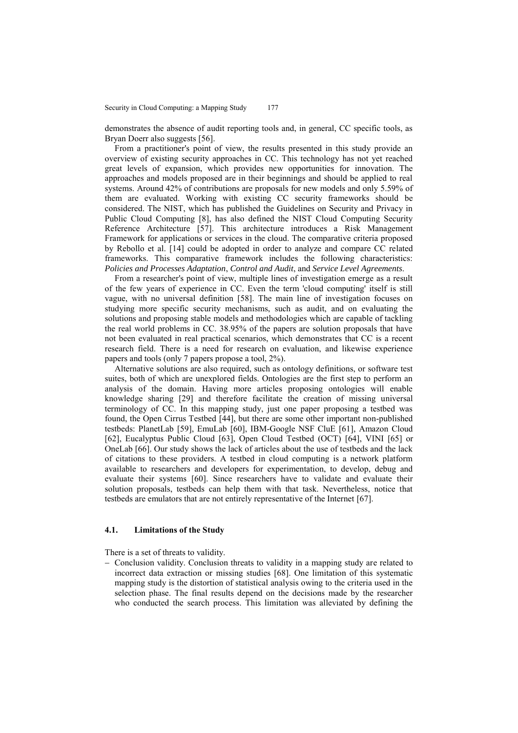demonstrates the absence of audit reporting tools and, in general, CC specific tools, as Bryan Doerr also suggests [56].

From a practitioner's point of view, the results presented in this study provide an overview of existing security approaches in CC. This technology has not yet reached great levels of expansion, which provides new opportunities for innovation. The approaches and models proposed are in their beginnings and should be applied to real systems. Around 42% of contributions are proposals for new models and only 5.59% of them are evaluated. Working with existing CC security frameworks should be considered. The NIST, which has published the Guidelines on Security and Privacy in Public Cloud Computing [8], has also defined the NIST Cloud Computing Security Reference Architecture [57]. This architecture introduces a Risk Management Framework for applications or services in the cloud. The comparative criteria proposed by Rebollo et al. [14] could be adopted in order to analyze and compare CC related frameworks. This comparative framework includes the following characteristics: *Policies and Processes Adaptation*, *Control and Audit*, and *Service Level Agreements*.

From a researcher's point of view, multiple lines of investigation emerge as a result of the few years of experience in CC. Even the term 'cloud computing' itself is still vague, with no universal definition [58]. The main line of investigation focuses on studying more specific security mechanisms, such as audit, and on evaluating the solutions and proposing stable models and methodologies which are capable of tackling the real world problems in CC. 38.95% of the papers are solution proposals that have not been evaluated in real practical scenarios, which demonstrates that CC is a recent research field. There is a need for research on evaluation, and likewise experience papers and tools (only 7 papers propose a tool, 2%).

Alternative solutions are also required, such as ontology definitions, or software test suites, both of which are unexplored fields. Ontologies are the first step to perform an analysis of the domain. Having more articles proposing ontologies will enable knowledge sharing [29] and therefore facilitate the creation of missing universal terminology of CC. In this mapping study, just one paper proposing a testbed was found, the Open Cirrus Testbed [44], but there are some other important non-published testbeds: PlanetLab [59], EmuLab [60], IBM-Google NSF CluE [61], Amazon Cloud [62], Eucalyptus Public Cloud [63], Open Cloud Testbed (OCT) [64], VINI [65] or OneLab [66]. Our study shows the lack of articles about the use of testbeds and the lack of citations to these providers. A testbed in cloud computing is a network platform available to researchers and developers for experimentation, to develop, debug and evaluate their systems [60]. Since researchers have to validate and evaluate their solution proposals, testbeds can help them with that task. Nevertheless, notice that testbeds are emulators that are not entirely representative of the Internet [67].

### **4.1. Limitations of the Study**

There is a set of threats to validity.

- Conclusion validity. Conclusion threats to validity in a mapping study are related to incorrect data extraction or missing studies [68]. One limitation of this systematic mapping study is the distortion of statistical analysis owing to the criteria used in the selection phase. The final results depend on the decisions made by the researcher who conducted the search process. This limitation was alleviated by defining the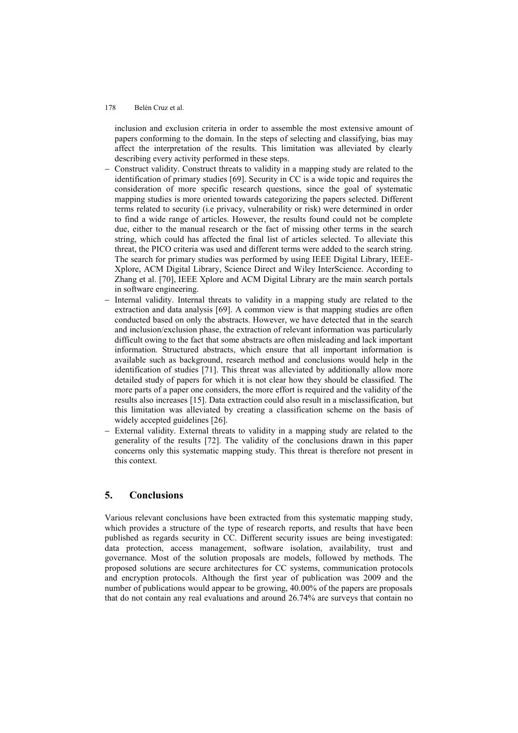inclusion and exclusion criteria in order to assemble the most extensive amount of papers conforming to the domain. In the steps of selecting and classifying, bias may affect the interpretation of the results. This limitation was alleviated by clearly describing every activity performed in these steps.

- Construct validity. Construct threats to validity in a mapping study are related to the identification of primary studies [69]. Security in CC is a wide topic and requires the consideration of more specific research questions, since the goal of systematic mapping studies is more oriented towards categorizing the papers selected. Different terms related to security (i.e privacy, vulnerability or risk) were determined in order to find a wide range of articles. However, the results found could not be complete due, either to the manual research or the fact of missing other terms in the search string, which could has affected the final list of articles selected. To alleviate this threat, the PICO criteria was used and different terms were added to the search string. The search for primary studies was performed by using IEEE Digital Library, IEEE-Xplore, ACM Digital Library, Science Direct and Wiley InterScience. According to Zhang et al. [70], IEEE Xplore and ACM Digital Library are the main search portals in software engineering.
- Internal validity. Internal threats to validity in a mapping study are related to the extraction and data analysis [69]. A common view is that mapping studies are often conducted based on only the abstracts. However, we have detected that in the search and inclusion/exclusion phase, the extraction of relevant information was particularly difficult owing to the fact that some abstracts are often misleading and lack important information. Structured abstracts, which ensure that all important information is available such as background, research method and conclusions would help in the identification of studies [71]. This threat was alleviated by additionally allow more detailed study of papers for which it is not clear how they should be classified. The more parts of a paper one considers, the more effort is required and the validity of the results also increases [15]. Data extraction could also result in a misclassification, but this limitation was alleviated by creating a classification scheme on the basis of widely accepted guidelines [26].
- External validity. External threats to validity in a mapping study are related to the generality of the results [72]. The validity of the conclusions drawn in this paper concerns only this systematic mapping study. This threat is therefore not present in this context.

## **5. Conclusions**

Various relevant conclusions have been extracted from this systematic mapping study, which provides a structure of the type of research reports, and results that have been published as regards security in CC. Different security issues are being investigated: data protection, access management, software isolation, availability, trust and governance. Most of the solution proposals are models, followed by methods. The proposed solutions are secure architectures for CC systems, communication protocols and encryption protocols. Although the first year of publication was 2009 and the number of publications would appear to be growing, 40.00% of the papers are proposals that do not contain any real evaluations and around 26.74% are surveys that contain no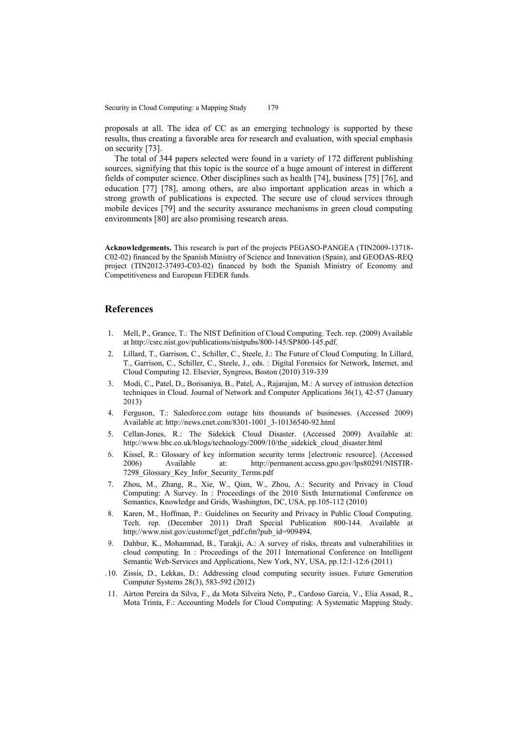proposals at all. The idea of CC as an emerging technology is supported by these results, thus creating a favorable area for research and evaluation, with special emphasis on security [73].

The total of 344 papers selected were found in a variety of 172 different publishing sources, signifying that this topic is the source of a huge amount of interest in different fields of computer science. Other disciplines such as health [74], business [75] [76], and education [77] [78], among others, are also important application areas in which a strong growth of publications is expected. The secure use of cloud services through mobile devices [79] and the security assurance mechanisms in green cloud computing environments [80] are also promising research areas.

**Acknowledgements.** This research is part of the projects PEGASO-PANGEA (TIN2009-13718- C02-02) financed by the Spanish Ministry of Science and Innovation (Spain), and GEODAS-REQ project (TIN2012-37493-C03-02) financed by both the Spanish Ministry of Economy and Competitiveness and European FEDER funds.

## **References**

- 1. Mell, P., Grance, T.: The NIST Definition of Cloud Computing. Tech. rep. (2009) Available at http://csrc.nist.gov/publications/nistpubs/800-145/SP800-145.pdf.
- 2. Lillard, T., Garrison, C., Schiller, C., Steele, J.: The Future of Cloud Computing. In Lillard, T., Garrison, C., Schiller, C., Steele, J., eds. : Digital Forensics for Network, Internet, and Cloud Computing 12. Elsevier, Syngress, Boston (2010) 319-339
- 3. Modi, C., Patel, D., Borisaniya, B., Patel, A., Rajarajan, M.: A survey of intrusion detection techniques in Cloud. Journal of Network and Computer Applications 36(1), 42-57 (January 2013)
- 4. Ferguson, T.: Salesforce.com outage hits thousands of businesses. (Accessed 2009) Available at[: http://news.cnet.com/8301-1001\\_3-10136540-92.html](http://news.cnet.com/8301-1001_3-10136540-92.html)
- 5. Cellan-Jones, R.: The Sidekick Cloud Disaster. (Accessed 2009) Available at: [http://www.bbc.co.uk/blogs/technology/2009/10/the\\_sidekick\\_cloud\\_disaster.html](http://www.bbc.co.uk/blogs/technology/2009/10/the_sidekick_cloud_disaster.html)
- 6. Kissel, R.: Glossary of key information security terms [electronic resource]. (Accessed 2006) Available at: [http://permanent.access.gpo.gov/lps80291/NISTIR-](http://permanent.access.gpo.gov/lps80291/NISTIR-7298_Glossary_Key_Infor_Security_Terms.pdf)[7298\\_Glossary\\_Key\\_Infor\\_Security\\_Terms.pdf](http://permanent.access.gpo.gov/lps80291/NISTIR-7298_Glossary_Key_Infor_Security_Terms.pdf)
- 7. Zhou, M., Zhang, R., Xie, W., Qian, W., Zhou, A.: Security and Privacy in Cloud Computing: A Survey. In : Proceedings of the 2010 Sixth International Conference on Semantics, Knowledge and Grids, Washington, DC, USA, pp.105-112 (2010)
- 8. Karen, M., Hoffman, P.: Guidelines on Security and Privacy in Public Cloud Computing. Tech. rep. (December 2011) Draft Special Publication 800-144. Available at http://www.nist.gov/customcf/get\_pdf.cfm?pub\_id=909494.
- 9. Dahbur, K., Mohammad, B., Tarakji, A.: A survey of risks, threats and vulnerabilities in cloud computing. In : Proceedings of the 2011 International Conference on Intelligent Semantic Web-Services and Applications, New York, NY, USA, pp.12:1-12:6 (2011)
- <span id="page-18-0"></span>.10. Zissis, D., Lekkas, D.: Addressing cloud computing security issues. Future Generation Computer Systems 28(3), 583-592 (2012)
- 11. Airton Pereira da Silva, F., da Mota Silveira Neto, P., Cardoso Garcia, V., Elia Assad, R., Mota Trinta, F.: Accounting Models for Cloud Computing: A Systematic Mapping Study.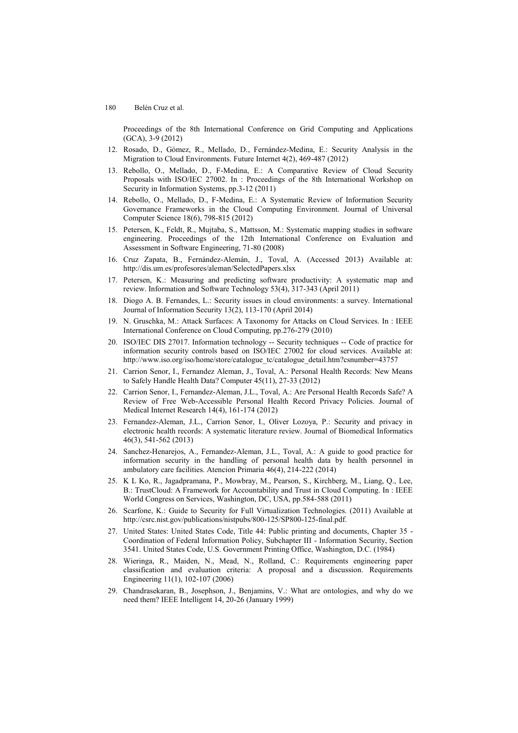Proceedings of the 8th International Conference on Grid Computing and Applications (GCA), 3-9 (2012)

- 12. Rosado, D., Gómez, R., Mellado, D., Fernández-Medina, E.: Security Analysis in the Migration to Cloud Environments. Future Internet 4(2), 469-487 (2012)
- 13. Rebollo, O., Mellado, D., F-Medina, E.: A Comparative Review of Cloud Security Proposals with ISO/IEC 27002. In : Proceedings of the 8th International Workshop on Security in Information Systems, pp.3-12 (2011)
- 14. Rebollo, O., Mellado, D., F-Medina, E.: A Systematic Review of Information Security Governance Frameworks in the Cloud Computing Environment. Journal of Universal Computer Science 18(6), 798-815 (2012)
- 15. Petersen, K., Feldt, R., Mujtaba, S., Mattsson, M.: Systematic mapping studies in software engineering. Proceedings of the 12th International Conference on Evaluation and Assessment in Software Engineering, 71-80 (2008)
- 16. Cruz Zapata, B., Fernández-Alemán, J., Toval, A. (Accessed 2013) Available at: <http://dis.um.es/profesores/aleman/SelectedPapers.xlsx>
- 17. Petersen, K.: Measuring and predicting software productivity: A systematic map and review. Information and Software Technology 53(4), 317-343 (April 2011)
- 18. Diogo A. B. Fernandes, L.: Security issues in cloud environments: a survey. International Journal of Information Security 13(2), 113-170 (April 2014)
- 19. N. Gruschka, M.: Attack Surfaces: A Taxonomy for Attacks on Cloud Services. In : IEEE International Conference on Cloud Computing, pp.276-279 (2010)
- 20. ISO/IEC DIS 27017. Information technology -- Security techniques -- Code of practice for information security controls based on ISO/IEC 27002 for cloud services. Available at: [http://www.iso.org/iso/home/store/catalogue\\_tc/catalogue\\_detail.htm?csnumber=43757](http://www.iso.org/iso/home/store/catalogue_tc/catalogue_detail.htm?csnumber=43757)
- 21. Carrion Senor, I., Fernandez Aleman, J., Toval, A.: Personal Health Records: New Means to Safely Handle Health Data? Computer 45(11), 27-33 (2012)
- 22. Carrion Senor, I., Fernandez-Aleman, J.L., Toval, A.: Are Personal Health Records Safe? A Review of Free Web-Accessible Personal Health Record Privacy Policies. Journal of Medical Internet Research 14(4), 161-174 (2012)
- 23. Fernandez-Aleman, J.L., Carrion Senor, I., Oliver Lozoya, P.: Security and privacy in electronic health records: A systematic literature review. Journal of Biomedical Informatics 46(3), 541-562 (2013)
- 24. Sanchez-Henarejos, A., Fernandez-Aleman, J.L., Toval, A.: A guide to good practice for information security in the handling of personal health data by health personnel in ambulatory care facilities. Atencion Primaria 46(4), 214-222 (2014)
- 25. K L Ko, R., Jagadpramana, P., Mowbray, M., Pearson, S., Kirchberg, M., Liang, Q., Lee, B.: TrustCloud: A Framework for Accountability and Trust in Cloud Computing. In : IEEE World Congress on Services, Washington, DC, USA, pp.584-588 (2011)
- 26. Scarfone, K.: Guide to Security for Full Virtualization Technologies. (2011) Available at http://csrc.nist.gov/publications/nistpubs/800-125/SP800-125-final.pdf.
- 27. United States: United States Code, Title 44: Public printing and documents, Chapter 35 Coordination of Federal Information Policy, Subchapter III - Information Security, Section 3541. United States Code, U.S. Government Printing Office, Washington, D.C. (1984)
- 28. Wieringa, R., Maiden, N., Mead, N., Rolland, C.: Requirements engineering paper classification and evaluation criteria: A proposal and a discussion. Requirements Engineering 11(1), 102-107 (2006)
- 29. Chandrasekaran, B., Josephson, J., Benjamins, V.: What are ontologies, and why do we need them? IEEE Intelligent 14, 20-26 (January 1999)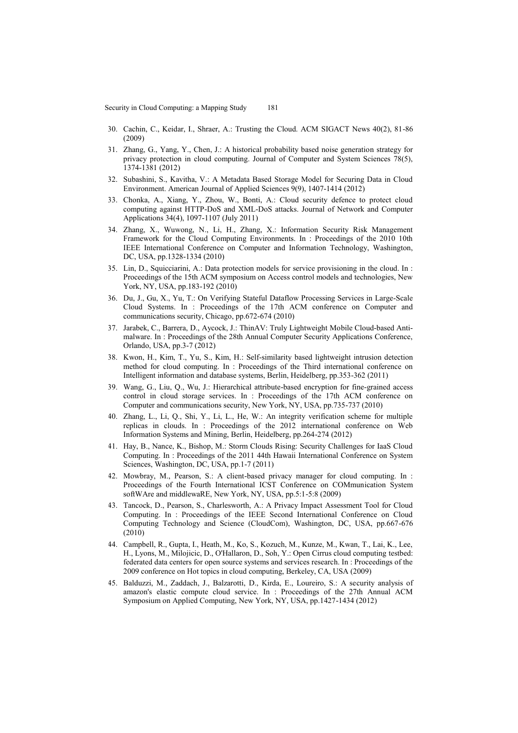- 30. Cachin, C., Keidar, I., Shraer, A.: Trusting the Cloud. ACM SIGACT News 40(2), 81-86 (2009)
- 31. Zhang, G., Yang, Y., Chen, J.: A historical probability based noise generation strategy for privacy protection in cloud computing. Journal of Computer and System Sciences 78(5), 1374-1381 (2012)
- 32. Subashini, S., Kavitha, V.: A Metadata Based Storage Model for Securing Data in Cloud Environment. American Journal of Applied Sciences 9(9), 1407-1414 (2012)
- 33. Chonka, A., Xiang, Y., Zhou, W., Bonti, A.: Cloud security defence to protect cloud computing against HTTP-DoS and XML-DoS attacks. Journal of Network and Computer Applications 34(4), 1097-1107 (July 2011)
- 34. Zhang, X., Wuwong, N., Li, H., Zhang, X.: Information Security Risk Management Framework for the Cloud Computing Environments. In : Proceedings of the 2010 10th IEEE International Conference on Computer and Information Technology, Washington, DC, USA, pp.1328-1334 (2010)
- 35. Lin, D., Squicciarini, A.: Data protection models for service provisioning in the cloud. In : Proceedings of the 15th ACM symposium on Access control models and technologies, New York, NY, USA, pp.183-192 (2010)
- 36. Du, J., Gu, X., Yu, T.: On Verifying Stateful Dataflow Processing Services in Large-Scale Cloud Systems. In : Proceedings of the 17th ACM conference on Computer and communications security, Chicago, pp.672-674 (2010)
- 37. Jarabek, C., Barrera, D., Aycock, J.: ThinAV: Truly Lightweight Mobile Cloud-based Antimalware. In : Proceedings of the 28th Annual Computer Security Applications Conference, Orlando, USA, pp.3-7 (2012)
- 38. Kwon, H., Kim, T., Yu, S., Kim, H.: Self-similarity based lightweight intrusion detection method for cloud computing. In : Proceedings of the Third international conference on Intelligent information and database systems, Berlin, Heidelberg, pp.353-362 (2011)
- 39. Wang, G., Liu, Q., Wu, J.: Hierarchical attribute-based encryption for fine-grained access control in cloud storage services. In : Proceedings of the 17th ACM conference on Computer and communications security, New York, NY, USA, pp.735-737 (2010)
- 40. Zhang, L., Li, Q., Shi, Y., Li, L., He, W.: An integrity verification scheme for multiple replicas in clouds. In : Proceedings of the 2012 international conference on Web Information Systems and Mining, Berlin, Heidelberg, pp.264-274 (2012)
- 41. Hay, B., Nance, K., Bishop, M.: Storm Clouds Rising: Security Challenges for IaaS Cloud Computing. In : Proceedings of the 2011 44th Hawaii International Conference on System Sciences, Washington, DC, USA, pp.1-7 (2011)
- 42. Mowbray, M., Pearson, S.: A client-based privacy manager for cloud computing. In : Proceedings of the Fourth International ICST Conference on COMmunication System softWAre and middlewaRE, New York, NY, USA, pp.5:1-5:8 (2009)
- 43. Tancock, D., Pearson, S., Charlesworth, A.: A Privacy Impact Assessment Tool for Cloud Computing. In : Proceedings of the IEEE Second International Conference on Cloud Computing Technology and Science (CloudCom), Washington, DC, USA, pp.667-676 (2010)
- 44. Campbell, R., Gupta, I., Heath, M., Ko, S., Kozuch, M., Kunze, M., Kwan, T., Lai, K., Lee, H., Lyons, M., Milojicic, D., O'Hallaron, D., Soh, Y.: Open Cirrus cloud computing testbed: federated data centers for open source systems and services research. In : Proceedings of the 2009 conference on Hot topics in cloud computing, Berkeley, CA, USA (2009)
- 45. Balduzzi, M., Zaddach, J., Balzarotti, D., Kirda, E., Loureiro, S.: A security analysis of amazon's elastic compute cloud service. In : Proceedings of the 27th Annual ACM Symposium on Applied Computing, New York, NY, USA, pp.1427-1434 (2012)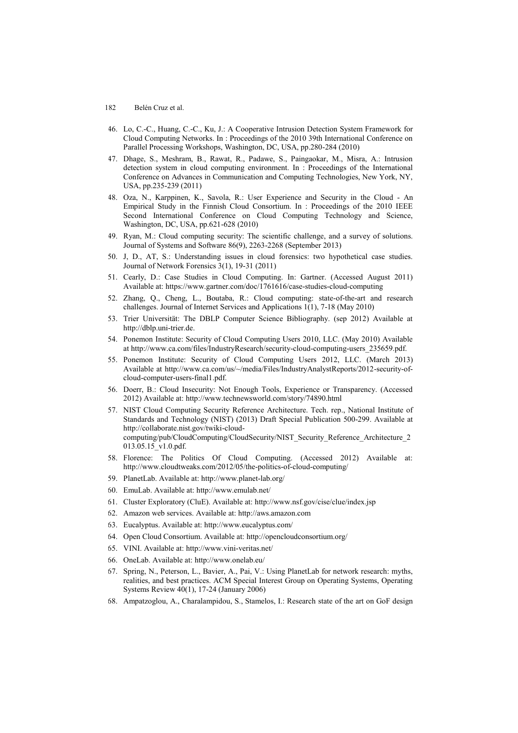- 46. Lo, C.-C., Huang, C.-C., Ku, J.: A Cooperative Intrusion Detection System Framework for Cloud Computing Networks. In : Proceedings of the 2010 39th International Conference on Parallel Processing Workshops, Washington, DC, USA, pp.280-284 (2010)
- 47. Dhage, S., Meshram, B., Rawat, R., Padawe, S., Paingaokar, M., Misra, A.: Intrusion detection system in cloud computing environment. In : Proceedings of the International Conference on Advances in Communication and Computing Technologies, New York, NY, USA, pp.235-239 (2011)
- 48. Oza, N., Karppinen, K., Savola, R.: User Experience and Security in the Cloud An Empirical Study in the Finnish Cloud Consortium. In : Proceedings of the 2010 IEEE Second International Conference on Cloud Computing Technology and Science, Washington, DC, USA, pp.621-628 (2010)
- 49. Ryan, M.: Cloud computing security: The scientific challenge, and a survey of solutions. Journal of Systems and Software 86(9), 2263-2268 (September 2013)
- 50. J, D., AT, S.: Understanding issues in cloud forensics: two hypothetical case studies. Journal of Network Forensics 3(1), 19-31 (2011)
- 51. Cearly, D.: Case Studies in Cloud Computing. In: Gartner. (Accessed August 2011) Available at[: https://www.gartner.com/doc/1761616/case-studies-cloud-computing](https://www.gartner.com/doc/1761616/case-studies-cloud-computing)
- 52. Zhang, Q., Cheng, L., Boutaba, R.: Cloud computing: state-of-the-art and research challenges. Journal of Internet Services and Applications 1(1), 7-18 (May 2010)
- 53. Trier Universität: The DBLP Computer Science Bibliography. (sep 2012) Available at http://dblp.uni-trier.de.
- 54. Ponemon Institute: Security of Cloud Computing Users 2010, LLC. (May 2010) Available at http://www.ca.com/files/IndustryResearch/security-cloud-computing-users\_235659.pdf.
- 55. Ponemon Institute: Security of Cloud Computing Users 2012, LLC. (March 2013) Available at http://www.ca.com/us/~/media/Files/IndustryAnalystReports/2012-security-ofcloud-computer-users-final1.pdf.
- 56. Doerr, B.: Cloud Insecurity: Not Enough Tools, Experience or Transparency. (Accessed 2012) Available at[: http://www.technewsworld.com/story/74890.html](http://www.technewsworld.com/story/74890.html)
- 57. NIST Cloud Computing Security Reference Architecture. Tech. rep., National Institute of Standards and Technology (NIST) (2013) Draft Special Publication 500-299. Available at http://collaborate.nist.gov/twiki-cloudcomputing/pub/CloudComputing/CloudSecurity/NIST\_Security\_Reference\_Architecture\_2 013.05.15\_v1.0.pdf.
- 58. Florence: The Politics Of Cloud Computing. (Accessed 2012) Available at: <http://www.cloudtweaks.com/2012/05/the-politics-of-cloud-computing/>
- 59. PlanetLab. Available at[: http://www.planet-lab.org/](http://www.planet-lab.org/)
- 60. EmuLab. Available at:<http://www.emulab.net/>
- 61. Cluster Exploratory (CluE). Available at:<http://www.nsf.gov/cise/clue/index.jsp>
- 62. Amazon web services. Available at: [http://aws.amazon.com](http://aws.amazon.com/)
- 63. Eucalyptus. Available at:<http://www.eucalyptus.com/>
- 64. Open Cloud Consortium. Available at[: http://opencloudconsortium.org/](http://opencloudconsortium.org/)
- 65. VINI. Available at:<http://www.vini-veritas.net/>
- 66. OneLab. Available at:<http://www.onelab.eu/>
- 67. Spring, N., Peterson, L., Bavier, A., Pai, V.: Using PlanetLab for network research: myths, realities, and best practices. ACM Special Interest Group on Operating Systems, Operating Systems Review 40(1), 17-24 (January 2006)
- 68. Ampatzoglou, A., Charalampidou, S., Stamelos, I.: Research state of the art on GoF design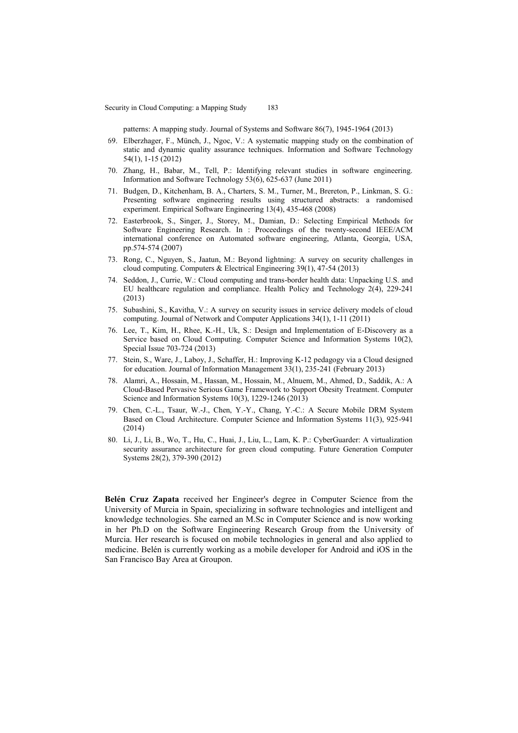patterns: A mapping study. Journal of Systems and Software 86(7), 1945-1964 (2013)

- 69. Elberzhager, F., Münch, J., Ngoc, V.: A systematic mapping study on the combination of static and dynamic quality assurance techniques. Information and Software Technology 54(1), 1-15 (2012)
- 70. Zhang, H., Babar, M., Tell, P.: Identifying relevant studies in software engineering. Information and Software Technology 53(6), 625-637 (June 2011)
- 71. Budgen, D., Kitchenham, B. A., Charters, S. M., Turner, M., Brereton, P., Linkman, S. G.: Presenting software engineering results using structured abstracts: a randomised experiment. Empirical Software Engineering 13(4), 435-468 (2008)
- 72. Easterbrook, S., Singer, J., Storey, M., Damian, D.: Selecting Empirical Methods for Software Engineering Research. In : Proceedings of the twenty-second IEEE/ACM international conference on Automated software engineering, Atlanta, Georgia, USA, pp.574-574 (2007)
- 73. Rong, C., Nguyen, S., Jaatun, M.: Beyond lightning: A survey on security challenges in cloud computing. Computers & Electrical Engineering 39(1), 47-54 (2013)
- 74. Seddon, J., Currie, W.: Cloud computing and trans-border health data: Unpacking U.S. and EU healthcare regulation and compliance. Health Policy and Technology 2(4), 229-241 (2013)
- 75. Subashini, S., Kavitha, V.: A survey on security issues in service delivery models of cloud computing. Journal of Network and Computer Applications 34(1), 1-11 (2011)
- 76. Lee, T., Kim, H., Rhee, K.-H., Uk, S.: Design and Implementation of E-Discovery as a Service based on Cloud Computing. Computer Science and Information Systems 10(2), Special Issue 703-724 (2013)
- 77. Stein, S., Ware, J., Laboy, J., Schaffer, H.: Improving K-12 pedagogy via a Cloud designed for education. Journal of Information Management 33(1), 235-241 (February 2013)
- 78. Alamri, A., Hossain, M., Hassan, M., Hossain, M., Alnuem, M., Ahmed, D., Saddik, A.: A Cloud-Based Pervasive Serious Game Framework to Support Obesity Treatment. Computer Science and Information Systems 10(3), 1229-1246 (2013)
- 79. Chen, C.-L., Tsaur, W.-J., Chen, Y.-Y., Chang, Y.-C.: A Secure Mobile DRM System Based on Cloud Architecture. Computer Science and Information Systems 11(3), 925-941 (2014)
- 80. Li, J., Li, B., Wo, T., Hu, C., Huai, J., Liu, L., Lam, K. P.: CyberGuarder: A virtualization security assurance architecture for green cloud computing. Future Generation Computer Systems 28(2), 379-390 (2012)

**Belén Cruz Zapata** received her Engineer's degree in Computer Science from the University of Murcia in Spain, specializing in software technologies and intelligent and knowledge technologies. She earned an M.Sc in Computer Science and is now working in her Ph.D on the Software Engineering Research Group from the University of Murcia. Her research is focused on mobile technologies in general and also applied to medicine. Belén is currently working as a mobile developer for Android and iOS in the San Francisco Bay Area at Groupon.